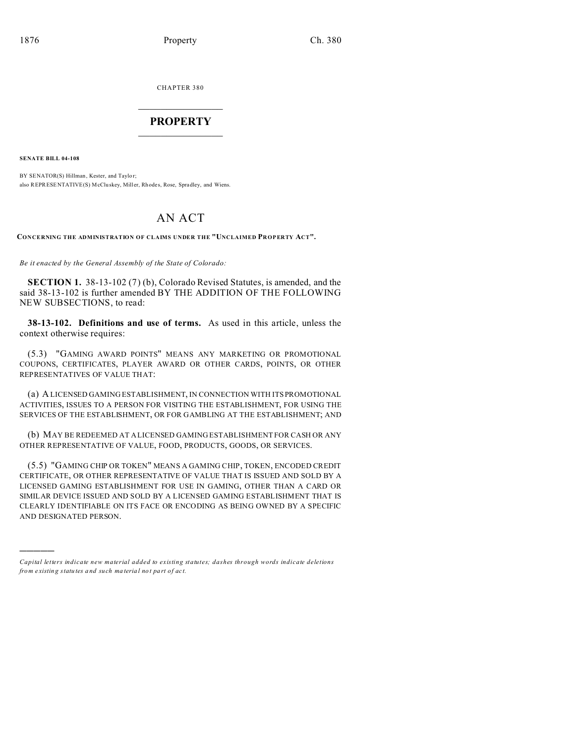CHAPTER 380  $\overline{\phantom{a}}$  , where  $\overline{\phantom{a}}$ 

## **PROPERTY**  $\_$   $\_$   $\_$   $\_$   $\_$   $\_$   $\_$   $\_$   $\_$   $\_$

**SENATE BILL 04-108**

)))))

BY SENATOR(S) Hillman, Kester, and Taylor; also REPRESENTATIVE(S) McClu skey, Miller, Rhodes, Rose, Spradley, and Wiens.

## AN ACT

**CONCERNING THE ADMINISTRATION OF CLAIMS UNDER THE "UNCLAIMED PROPERTY ACT".**

*Be it enacted by the General Assembly of the State of Colorado:*

**SECTION 1.** 38-13-102 (7) (b), Colorado Revised Statutes, is amended, and the said 38-13-102 is further amended BY THE ADDITION OF THE FOLLOWING NEW SUBSECTIONS, to read:

**38-13-102. Definitions and use of terms.** As used in this article, unless the context otherwise requires:

(5.3) "GAMING AWARD POINTS" MEANS ANY MARKETING OR PROMOTIONAL COUPONS, CERTIFICATES, PLAYER AWARD OR OTHER CARDS, POINTS, OR OTHER REPRESENTATIVES OF VALUE THAT:

(a) A LICENSED GAMING ESTABLISHMENT, IN CONNECTION WITH ITS PROMOTIONAL ACTIVITIES, ISSUES TO A PERSON FOR VISITING THE ESTABLISHMENT, FOR USING THE SERVICES OF THE ESTABLISHMENT, OR FOR GAMBLING AT THE ESTABLISHMENT; AND

(b) MAY BE REDEEMED AT A LICENSED GAMING ESTABLISHMENT FOR CASH OR ANY OTHER REPRESENTATIVE OF VALUE, FOOD, PRODUCTS, GOODS, OR SERVICES.

(5.5) "GAMING CHIP OR TOKEN" MEANS A GAMING CHIP, TOKEN, ENCODED CREDIT CERTIFICATE, OR OTHER REPRESENTATIVE OF VALUE THAT IS ISSUED AND SOLD BY A LICENSED GAMING ESTABLISHMENT FOR USE IN GAMING, OTHER THAN A CARD OR SIMILAR DEVICE ISSUED AND SOLD BY A LICENSED GAMING ESTABLISHMENT THAT IS CLEARLY IDENTIFIABLE ON ITS FACE OR ENCODING AS BEING OWNED BY A SPECIFIC AND DESIGNATED PERSON.

*Capital letters indicate new material added to existing statutes; dashes through words indicate deletions from e xistin g statu tes a nd such ma teria l no t pa rt of ac t.*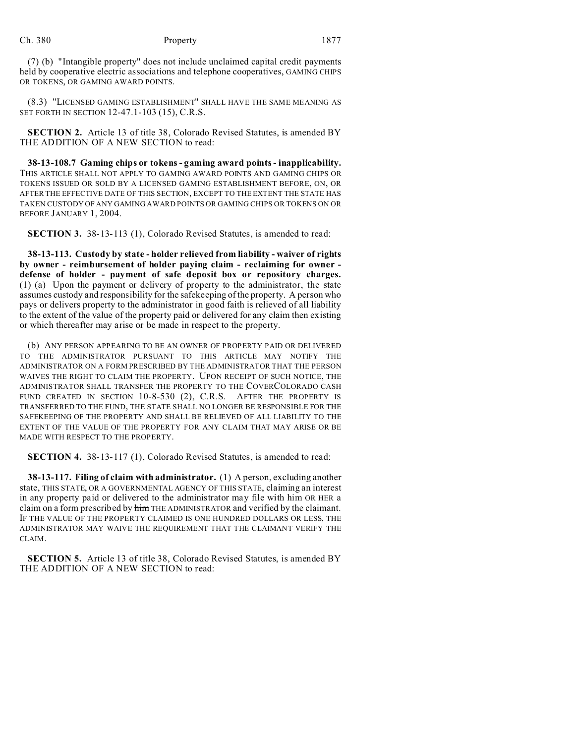(7) (b) "Intangible property" does not include unclaimed capital credit payments held by cooperative electric associations and telephone cooperatives, GAMING CHIPS OR TOKENS, OR GAMING AWARD POINTS.

(8.3) "LICENSED GAMING ESTABLISHMENT" SHALL HAVE THE SAME MEANING AS SET FORTH IN SECTION 12-47.1-103 (15), C.R.S.

**SECTION 2.** Article 13 of title 38, Colorado Revised Statutes, is amended BY THE ADDITION OF A NEW SECTION to read:

**38-13-108.7 Gaming chips or tokens - gaming award points - inapplicability.** THIS ARTICLE SHALL NOT APPLY TO GAMING AWARD POINTS AND GAMING CHIPS OR TOKENS ISSUED OR SOLD BY A LICENSED GAMING ESTABLISHMENT BEFORE, ON, OR AFTER THE EFFECTIVE DATE OF THIS SECTION, EXCEPT TO THE EXTENT THE STATE HAS TAKEN CUSTODY OF ANY GAMING AWARD POINTS OR GAMING CHIPS OR TOKENS ON OR BEFORE JANUARY 1, 2004.

**SECTION 3.** 38-13-113 (1), Colorado Revised Statutes, is amended to read:

**38-13-113. Custody by state - holder relieved from liability - waiver of rights by owner - reimbursement of holder paying claim - reclaiming for owner defense of holder - payment of safe deposit box or repository charges.** (1) (a) Upon the payment or delivery of property to the administrator, the state assumes custody and responsibility for the safekeeping of the property. A person who pays or delivers property to the administrator in good faith is relieved of all liability to the extent of the value of the property paid or delivered for any claim then existing or which thereafter may arise or be made in respect to the property.

(b) ANY PERSON APPEARING TO BE AN OWNER OF PROPERTY PAID OR DELIVERED TO THE ADMINISTRATOR PURSUANT TO THIS ARTICLE MAY NOTIFY THE ADMINISTRATOR ON A FORM PRESCRIBED BY THE ADMINISTRATOR THAT THE PERSON WAIVES THE RIGHT TO CLAIM THE PROPERTY. UPON RECEIPT OF SUCH NOTICE, THE ADMINISTRATOR SHALL TRANSFER THE PROPERTY TO THE COVERCOLORADO CASH FUND CREATED IN SECTION 10-8-530 (2), C.R.S. AFTER THE PROPERTY IS TRANSFERRED TO THE FUND, THE STATE SHALL NO LONGER BE RESPONSIBLE FOR THE SAFEKEEPING OF THE PROPERTY AND SHALL BE RELIEVED OF ALL LIABILITY TO THE EXTENT OF THE VALUE OF THE PROPERTY FOR ANY CLAIM THAT MAY ARISE OR BE MADE WITH RESPECT TO THE PROPERTY.

**SECTION 4.** 38-13-117 (1), Colorado Revised Statutes, is amended to read:

**38-13-117. Filing of claim with administrator.** (1) A person, excluding another state, THIS STATE, OR A GOVERNMENTAL AGENCY OF THIS STATE, claiming an interest in any property paid or delivered to the administrator may file with him OR HER a claim on a form prescribed by him THE ADMINISTRATOR and verified by the claimant. IF THE VALUE OF THE PROPERTY CLAIMED IS ONE HUNDRED DOLLARS OR LESS, THE ADMINISTRATOR MAY WAIVE THE REQUIREMENT THAT THE CLAIMANT VERIFY THE CLAIM.

**SECTION 5.** Article 13 of title 38, Colorado Revised Statutes, is amended BY THE ADDITION OF A NEW SECTION to read: